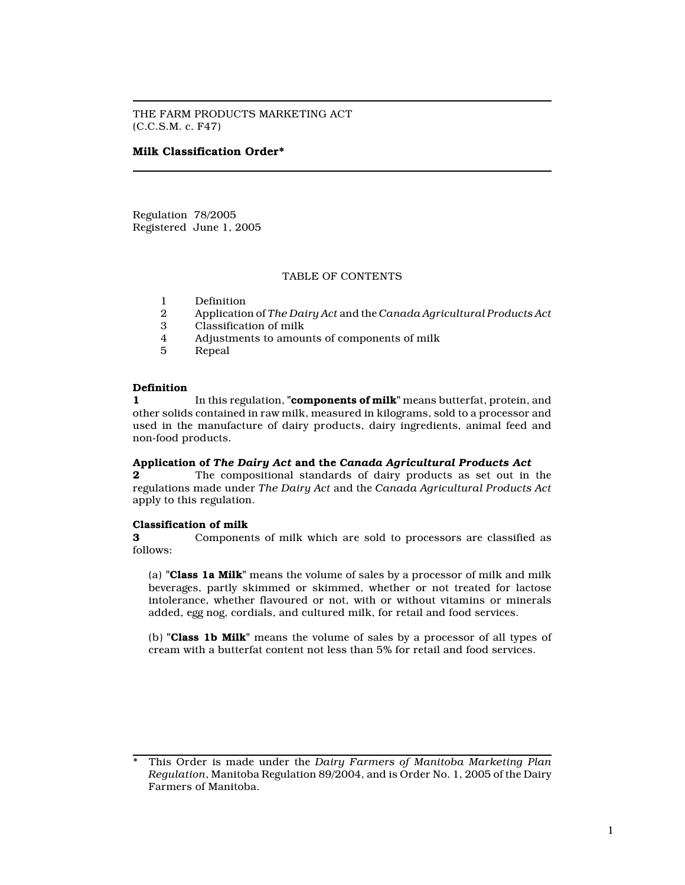THE FARM PRODUCTS MARKETING ACT (C.C.S.M. c. F47)

## Milk Classification Order\*

Regulation 78/2005 Registered June 1, 2005

## TABLE OF CONTENTS

- 1 Definition<br>2 Applicatio
- 2 Application of The Dairy Act and the Canada Agricultural Products Act<br>3 Classification of milk
- 3 Classification of milk
- 4 Adjustments to amounts of components of milk
- **Repeal**

#### Definition

1 In this regulation, "**components of milk**" means butterfat, protein, and other solids contained in raw milk, measured in kilograms, sold to a processor and used in the manufacture of dairy products, dairy ingredients, animal feed and non-food products.

#### Application of The Dairy Act and the Canada Agricultural Products Act

2 The compositional standards of dairy products as set out in the regulations made under The Dairy Act and the Canada Agricultural Products Act apply to this regulation.

#### Classification of milk

3 Components of milk which are sold to processors are classified as follows:

(a) "Class 1a Milk" means the volume of sales by a processor of milk and milk beverages, partly skimmed or skimmed, whether or not treated for lactose intolerance, whether flavoured or not, with or without vitamins or minerals added, egg nog, cordials, and cultured milk, for retail and food services.

(b) "Class 1b Milk" means the volume of sales by a processor of all types of cream with a butterfat content not less than 5% for retail and food services.

This Order is made under the Dairy Farmers of Manitoba Marketing Plan Regulation, Manitoba Regulation 89/2004, and is Order No. 1, 2005 of the Dairy Farmers of Manitoba.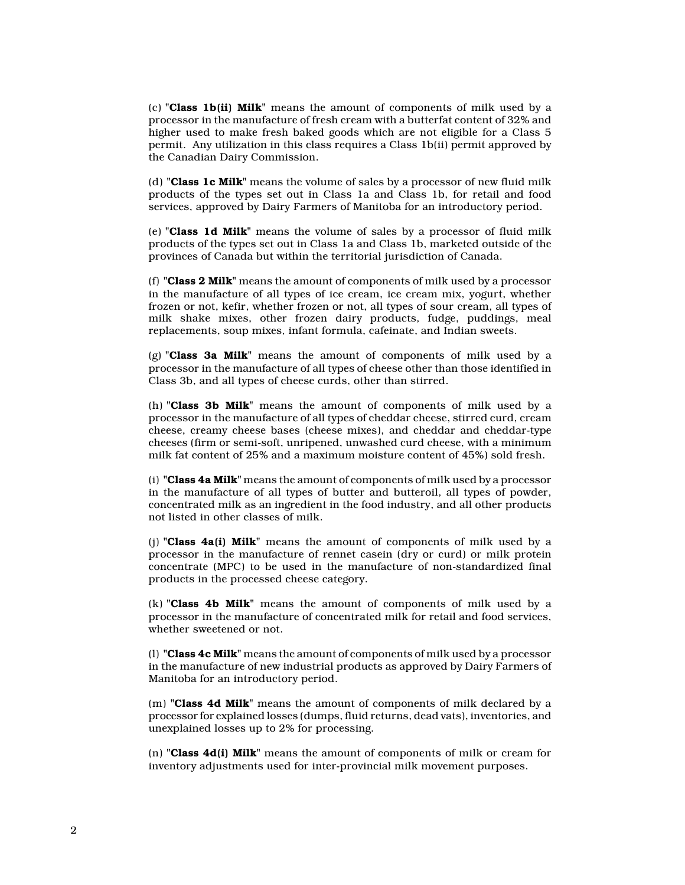(c) "Class 1b(ii) Milk" means the amount of components of milk used by a processor in the manufacture of fresh cream with a butterfat content of 32% and higher used to make fresh baked goods which are not eligible for a Class 5 permit. Any utilization in this class requires a Class 1b(ii) permit approved by the Canadian Dairy Commission.

(d) "Class 1c Milk" means the volume of sales by a processor of new fluid milk products of the types set out in Class 1a and Class 1b, for retail and food services, approved by Dairy Farmers of Manitoba for an introductory period.

(e) "Class 1d Milk" means the volume of sales by a processor of fluid milk products of the types set out in Class 1a and Class 1b, marketed outside of the provinces of Canada but within the territorial jurisdiction of Canada.

(f) "Class  $2$  Milk" means the amount of components of milk used by a processor in the manufacture of all types of ice cream, ice cream mix, yogurt, whether frozen or not, kefir, whether frozen or not, all types of sour cream, all types of milk shake mixes, other frozen dairy products, fudge, puddings, meal replacements, soup mixes, infant formula, cafeinate, and Indian sweets.

(g) "Class 3a Milk" means the amount of components of milk used by a processor in the manufacture of all types of cheese other than those identified in Class 3b, and all types of cheese curds, other than stirred.

(h) "Class 3b Milk" means the amount of components of milk used by a processor in the manufacture of all types of cheddar cheese, stirred curd, cream cheese, creamy cheese bases (cheese mixes), and cheddar and cheddar-type cheeses (firm or semi-soft, unripened, unwashed curd cheese, with a minimum milk fat content of 25% and a maximum moisture content of 45%) sold fresh.

(i) "Class 4a Milk" means the amount of components of milk used by a processor in the manufacture of all types of butter and butteroil, all types of powder, concentrated milk as an ingredient in the food industry, and all other products not listed in other classes of milk.

(i) "Class  $4a(i)$  Milk" means the amount of components of milk used by a processor in the manufacture of rennet casein (dry or curd) or milk protein concentrate (MPC) to be used in the manufacture of non-standardized final products in the processed cheese category.

 $(k)$  "Class 4b Milk" means the amount of components of milk used by a processor in the manufacture of concentrated milk for retail and food services, whether sweetened or not.

(l) "Class 4c Milk" means the amount of components of milk used by a processor in the manufacture of new industrial products as approved by Dairy Farmers of Manitoba for an introductory period.

(m) "Class 4d Milk" means the amount of components of milk declared by a processor for explained losses (dumps, fluid returns, dead vats), inventories, and unexplained losses up to 2% for processing.

(n) "Class  $4d(i)$  Milk" means the amount of components of milk or cream for inventory adjustments used for inter-provincial milk movement purposes.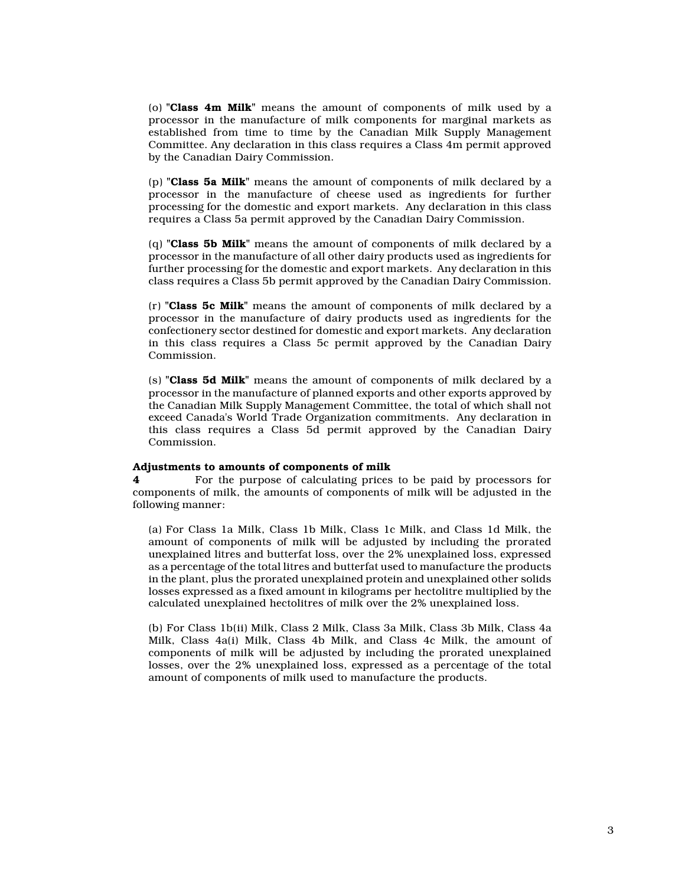(o) "Class 4m Milk" means the amount of components of milk used by a processor in the manufacture of milk components for marginal markets as established from time to time by the Canadian Milk Supply Management Committee. Any declaration in this class requires a Class 4m permit approved by the Canadian Dairy Commission.

(p) "Class 5a Milk" means the amount of components of milk declared by a processor in the manufacture of cheese used as ingredients for further processing for the domestic and export markets. Any declaration in this class requires a Class 5a permit approved by the Canadian Dairy Commission.

(q) "Class 5b Milk" means the amount of components of milk declared by a processor in the manufacture of all other dairy products used as ingredients for further processing for the domestic and export markets. Any declaration in this class requires a Class 5b permit approved by the Canadian Dairy Commission.

 $(r)$  "Class 5c Milk" means the amount of components of milk declared by a processor in the manufacture of dairy products used as ingredients for the confectionery sector destined for domestic and export markets. Any declaration in this class requires a Class 5c permit approved by the Canadian Dairy Commission.

(s) "Class 5d Milk" means the amount of components of milk declared by a processor in the manufacture of planned exports and other exports approved by the Canadian Milk Supply Management Committee, the total of which shall not exceed Canada's World Trade Organization commitments. Any declaration in this class requires a Class 5d permit approved by the Canadian Dairy Commission.

### Adjustments to amounts of components of milk

4 For the purpose of calculating prices to be paid by processors for components of milk, the amounts of components of milk will be adjusted in the following manner:

(a) For Class 1a Milk, Class 1b Milk, Class 1c Milk, and Class 1d Milk, the amount of components of milk will be adjusted by including the prorated unexplained litres and butterfat loss, over the 2% unexplained loss, expressed as a percentage of the total litres and butterfat used to manufacture the products in the plant, plus the prorated unexplained protein and unexplained other solids losses expressed as a fixed amount in kilograms per hectolitre multiplied by the calculated unexplained hectolitres of milk over the 2% unexplained loss.

(b) For Class 1b(ii) Milk, Class 2 Milk, Class 3a Milk, Class 3b Milk, Class 4a Milk, Class 4a(i) Milk, Class 4b Milk, and Class 4c Milk, the amount of components of milk will be adjusted by including the prorated unexplained losses, over the 2% unexplained loss, expressed as a percentage of the total amount of components of milk used to manufacture the products.